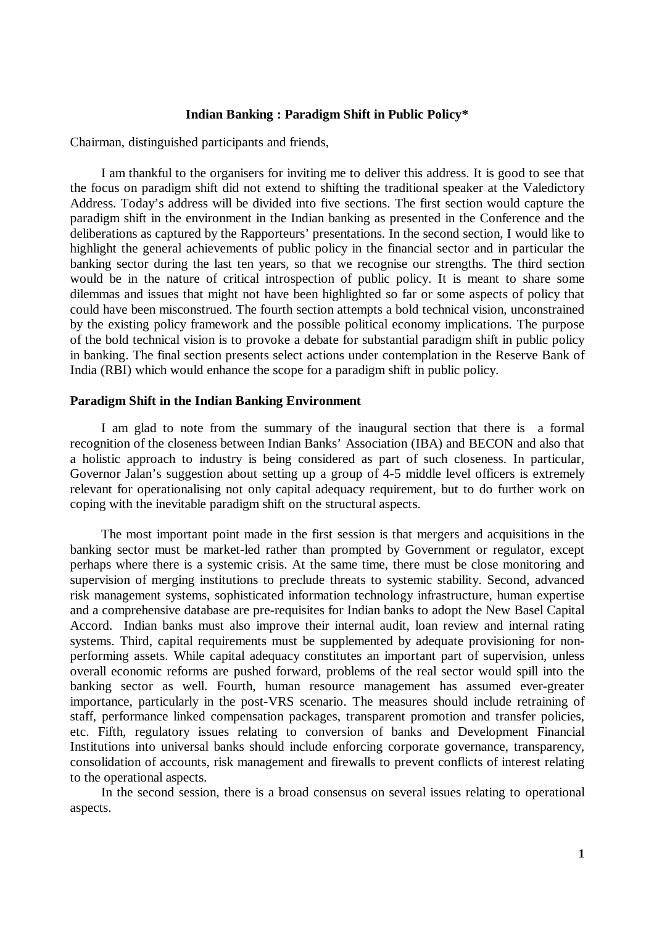### **Indian Banking : Paradigm Shift in Public Policy\***

Chairman, distinguished participants and friends,

I am thankful to the organisers for inviting me to deliver this address. It is good to see that the focus on paradigm shift did not extend to shifting the traditional speaker at the Valedictory Address. Today's address will be divided into five sections. The first section would capture the paradigm shift in the environment in the Indian banking as presented in the Conference and the deliberations as captured by the Rapporteurs' presentations. In the second section, I would like to highlight the general achievements of public policy in the financial sector and in particular the banking sector during the last ten years, so that we recognise our strengths. The third section would be in the nature of critical introspection of public policy. It is meant to share some dilemmas and issues that might not have been highlighted so far or some aspects of policy that could have been misconstrued. The fourth section attempts a bold technical vision, unconstrained by the existing policy framework and the possible political economy implications. The purpose of the bold technical vision is to provoke a debate for substantial paradigm shift in public policy in banking. The final section presents select actions under contemplation in the Reserve Bank of India (RBI) which would enhance the scope for a paradigm shift in public policy.

#### **Paradigm Shift in the Indian Banking Environment**

I am glad to note from the summary of the inaugural section that there is a formal recognition of the closeness between Indian Banks' Association (IBA) and BECON and also that a holistic approach to industry is being considered as part of such closeness. In particular, Governor Jalan's suggestion about setting up a group of 4-5 middle level officers is extremely relevant for operationalising not only capital adequacy requirement, but to do further work on coping with the inevitable paradigm shift on the structural aspects.

The most important point made in the first session is that mergers and acquisitions in the banking sector must be market-led rather than prompted by Government or regulator, except perhaps where there is a systemic crisis. At the same time, there must be close monitoring and supervision of merging institutions to preclude threats to systemic stability. Second, advanced risk management systems, sophisticated information technology infrastructure, human expertise and a comprehensive database are pre-requisites for Indian banks to adopt the New Basel Capital Accord. Indian banks must also improve their internal audit, loan review and internal rating systems. Third, capital requirements must be supplemented by adequate provisioning for nonperforming assets. While capital adequacy constitutes an important part of supervision, unless overall economic reforms are pushed forward, problems of the real sector would spill into the banking sector as well. Fourth, human resource management has assumed ever-greater importance, particularly in the post-VRS scenario. The measures should include retraining of staff, performance linked compensation packages, transparent promotion and transfer policies, etc. Fifth, regulatory issues relating to conversion of banks and Development Financial Institutions into universal banks should include enforcing corporate governance, transparency, consolidation of accounts, risk management and firewalls to prevent conflicts of interest relating to the operational aspects.

In the second session, there is a broad consensus on several issues relating to operational aspects.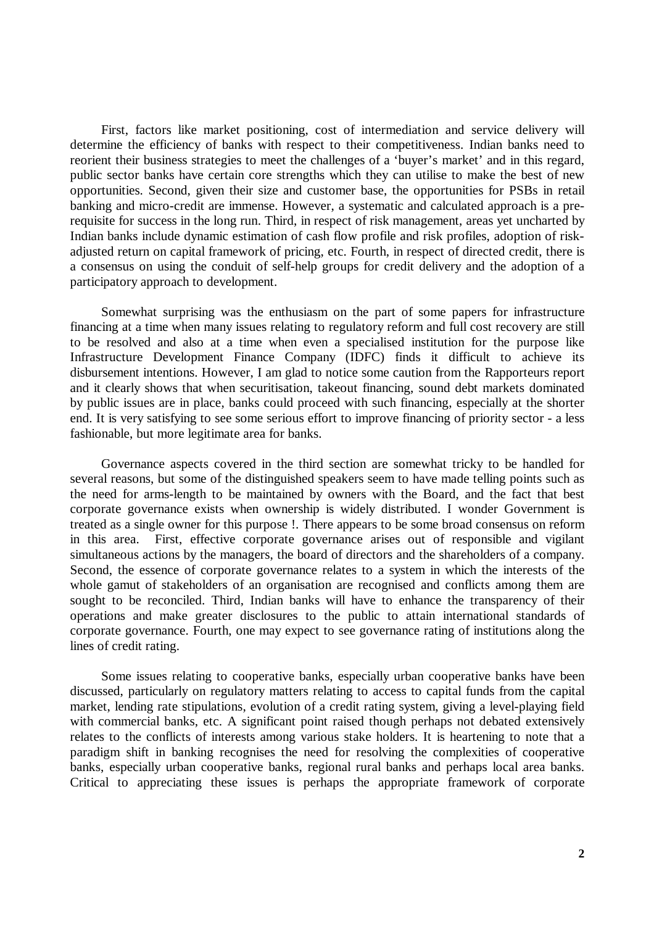First, factors like market positioning, cost of intermediation and service delivery will determine the efficiency of banks with respect to their competitiveness. Indian banks need to reorient their business strategies to meet the challenges of a 'buyer's market' and in this regard, public sector banks have certain core strengths which they can utilise to make the best of new opportunities. Second, given their size and customer base, the opportunities for PSBs in retail banking and micro-credit are immense. However, a systematic and calculated approach is a prerequisite for success in the long run. Third, in respect of risk management, areas yet uncharted by Indian banks include dynamic estimation of cash flow profile and risk profiles, adoption of riskadjusted return on capital framework of pricing, etc. Fourth, in respect of directed credit, there is a consensus on using the conduit of self-help groups for credit delivery and the adoption of a participatory approach to development.

Somewhat surprising was the enthusiasm on the part of some papers for infrastructure financing at a time when many issues relating to regulatory reform and full cost recovery are still to be resolved and also at a time when even a specialised institution for the purpose like Infrastructure Development Finance Company (IDFC) finds it difficult to achieve its disbursement intentions. However, I am glad to notice some caution from the Rapporteurs report and it clearly shows that when securitisation, takeout financing, sound debt markets dominated by public issues are in place, banks could proceed with such financing, especially at the shorter end. It is very satisfying to see some serious effort to improve financing of priority sector - a less fashionable, but more legitimate area for banks.

Governance aspects covered in the third section are somewhat tricky to be handled for several reasons, but some of the distinguished speakers seem to have made telling points such as the need for arms-length to be maintained by owners with the Board, and the fact that best corporate governance exists when ownership is widely distributed. I wonder Government is treated as a single owner for this purpose !. There appears to be some broad consensus on reform in this area. First, effective corporate governance arises out of responsible and vigilant simultaneous actions by the managers, the board of directors and the shareholders of a company. Second, the essence of corporate governance relates to a system in which the interests of the whole gamut of stakeholders of an organisation are recognised and conflicts among them are sought to be reconciled. Third, Indian banks will have to enhance the transparency of their operations and make greater disclosures to the public to attain international standards of corporate governance. Fourth, one may expect to see governance rating of institutions along the lines of credit rating.

Some issues relating to cooperative banks, especially urban cooperative banks have been discussed, particularly on regulatory matters relating to access to capital funds from the capital market, lending rate stipulations, evolution of a credit rating system, giving a level-playing field with commercial banks, etc. A significant point raised though perhaps not debated extensively relates to the conflicts of interests among various stake holders. It is heartening to note that a paradigm shift in banking recognises the need for resolving the complexities of cooperative banks, especially urban cooperative banks, regional rural banks and perhaps local area banks. Critical to appreciating these issues is perhaps the appropriate framework of corporate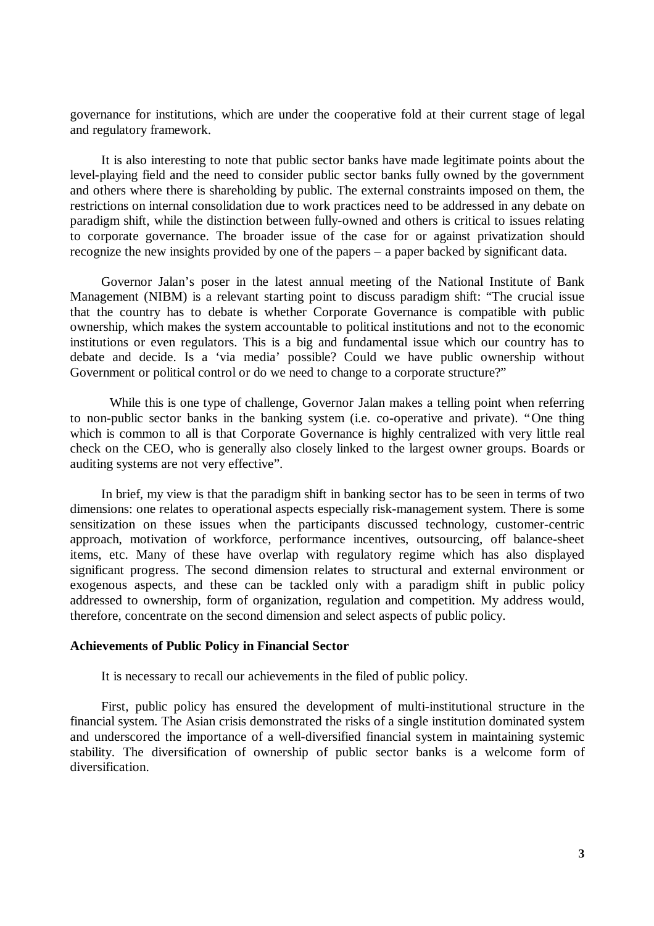governance for institutions, which are under the cooperative fold at their current stage of legal and regulatory framework.

It is also interesting to note that public sector banks have made legitimate points about the level-playing field and the need to consider public sector banks fully owned by the government and others where there is shareholding by public. The external constraints imposed on them, the restrictions on internal consolidation due to work practices need to be addressed in any debate on paradigm shift, while the distinction between fully-owned and others is critical to issues relating to corporate governance. The broader issue of the case for or against privatization should recognize the new insights provided by one of the papers – a paper backed by significant data.

Governor Jalan's poser in the latest annual meeting of the National Institute of Bank Management (NIBM) is a relevant starting point to discuss paradigm shift: "The crucial issue that the country has to debate is whether Corporate Governance is compatible with public ownership, which makes the system accountable to political institutions and not to the economic institutions or even regulators. This is a big and fundamental issue which our country has to debate and decide. Is a 'via media' possible? Could we have public ownership without Government or political control or do we need to change to a corporate structure?"

While this is one type of challenge, Governor Jalan makes a telling point when referring to non-public sector banks in the banking system (i.e. co-operative and private). "One thing which is common to all is that Corporate Governance is highly centralized with very little real check on the CEO, who is generally also closely linked to the largest owner groups. Boards or auditing systems are not very effective".

In brief, my view is that the paradigm shift in banking sector has to be seen in terms of two dimensions: one relates to operational aspects especially risk-management system. There is some sensitization on these issues when the participants discussed technology, customer-centric approach, motivation of workforce, performance incentives, outsourcing, off balance-sheet items, etc. Many of these have overlap with regulatory regime which has also displayed significant progress. The second dimension relates to structural and external environment or exogenous aspects, and these can be tackled only with a paradigm shift in public policy addressed to ownership, form of organization, regulation and competition. My address would, therefore, concentrate on the second dimension and select aspects of public policy.

### **Achievements of Public Policy in Financial Sector**

It is necessary to recall our achievements in the filed of public policy.

First, public policy has ensured the development of multi-institutional structure in the financial system. The Asian crisis demonstrated the risks of a single institution dominated system and underscored the importance of a well-diversified financial system in maintaining systemic stability. The diversification of ownership of public sector banks is a welcome form of diversification.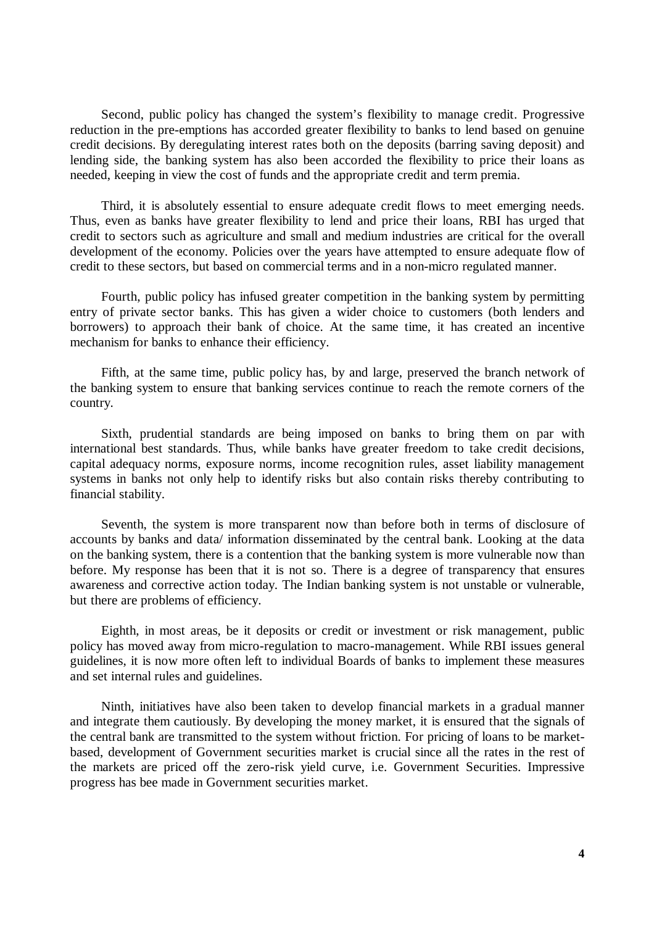Second, public policy has changed the system's flexibility to manage credit. Progressive reduction in the pre-emptions has accorded greater flexibility to banks to lend based on genuine credit decisions. By deregulating interest rates both on the deposits (barring saving deposit) and lending side, the banking system has also been accorded the flexibility to price their loans as needed, keeping in view the cost of funds and the appropriate credit and term premia.

Third, it is absolutely essential to ensure adequate credit flows to meet emerging needs. Thus, even as banks have greater flexibility to lend and price their loans, RBI has urged that credit to sectors such as agriculture and small and medium industries are critical for the overall development of the economy. Policies over the years have attempted to ensure adequate flow of credit to these sectors, but based on commercial terms and in a non-micro regulated manner.

Fourth, public policy has infused greater competition in the banking system by permitting entry of private sector banks. This has given a wider choice to customers (both lenders and borrowers) to approach their bank of choice. At the same time, it has created an incentive mechanism for banks to enhance their efficiency.

Fifth, at the same time, public policy has, by and large, preserved the branch network of the banking system to ensure that banking services continue to reach the remote corners of the country.

Sixth, prudential standards are being imposed on banks to bring them on par with international best standards. Thus, while banks have greater freedom to take credit decisions, capital adequacy norms, exposure norms, income recognition rules, asset liability management systems in banks not only help to identify risks but also contain risks thereby contributing to financial stability.

Seventh, the system is more transparent now than before both in terms of disclosure of accounts by banks and data/ information disseminated by the central bank. Looking at the data on the banking system, there is a contention that the banking system is more vulnerable now than before. My response has been that it is not so. There is a degree of transparency that ensures awareness and corrective action today. The Indian banking system is not unstable or vulnerable, but there are problems of efficiency.

Eighth, in most areas, be it deposits or credit or investment or risk management, public policy has moved away from micro-regulation to macro-management. While RBI issues general guidelines, it is now more often left to individual Boards of banks to implement these measures and set internal rules and guidelines.

Ninth, initiatives have also been taken to develop financial markets in a gradual manner and integrate them cautiously. By developing the money market, it is ensured that the signals of the central bank are transmitted to the system without friction. For pricing of loans to be marketbased, development of Government securities market is crucial since all the rates in the rest of the markets are priced off the zero-risk yield curve, i.e. Government Securities. Impressive progress has bee made in Government securities market.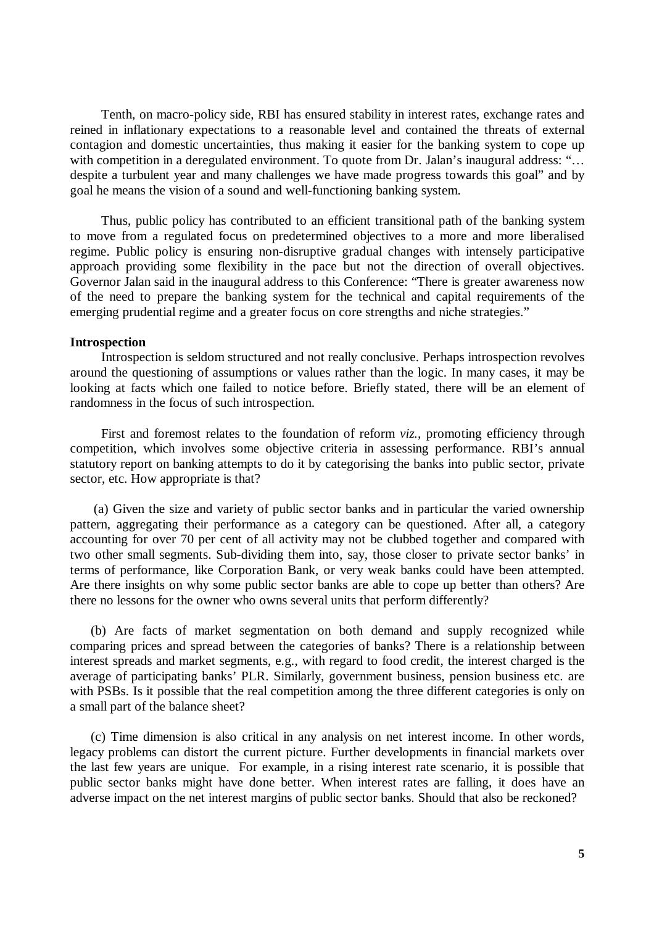Tenth, on macro-policy side, RBI has ensured stability in interest rates, exchange rates and reined in inflationary expectations to a reasonable level and contained the threats of external contagion and domestic uncertainties, thus making it easier for the banking system to cope up with competition in a deregulated environment. To quote from Dr. Jalan's inaugural address: "... despite a turbulent year and many challenges we have made progress towards this goal" and by goal he means the vision of a sound and well-functioning banking system.

Thus, public policy has contributed to an efficient transitional path of the banking system to move from a regulated focus on predetermined objectives to a more and more liberalised regime. Public policy is ensuring non-disruptive gradual changes with intensely participative approach providing some flexibility in the pace but not the direction of overall objectives. Governor Jalan said in the inaugural address to this Conference: "There is greater awareness now of the need to prepare the banking system for the technical and capital requirements of the emerging prudential regime and a greater focus on core strengths and niche strategies."

#### **Introspection**

Introspection is seldom structured and not really conclusive. Perhaps introspection revolves around the questioning of assumptions or values rather than the logic. In many cases, it may be looking at facts which one failed to notice before. Briefly stated, there will be an element of randomness in the focus of such introspection.

First and foremost relates to the foundation of reform *viz.,* promoting efficiency through competition, which involves some objective criteria in assessing performance. RBI's annual statutory report on banking attempts to do it by categorising the banks into public sector, private sector, etc. How appropriate is that?

(a) Given the size and variety of public sector banks and in particular the varied ownership pattern, aggregating their performance as a category can be questioned. After all, a category accounting for over 70 per cent of all activity may not be clubbed together and compared with two other small segments. Sub-dividing them into, say, those closer to private sector banks' in terms of performance, like Corporation Bank, or very weak banks could have been attempted. Are there insights on why some public sector banks are able to cope up better than others? Are there no lessons for the owner who owns several units that perform differently?

(b) Are facts of market segmentation on both demand and supply recognized while comparing prices and spread between the categories of banks? There is a relationship between interest spreads and market segments, e.g., with regard to food credit, the interest charged is the average of participating banks' PLR. Similarly, government business, pension business etc. are with PSBs. Is it possible that the real competition among the three different categories is only on a small part of the balance sheet?

(c) Time dimension is also critical in any analysis on net interest income. In other words, legacy problems can distort the current picture. Further developments in financial markets over the last few years are unique. For example, in a rising interest rate scenario, it is possible that public sector banks might have done better. When interest rates are falling, it does have an adverse impact on the net interest margins of public sector banks. Should that also be reckoned?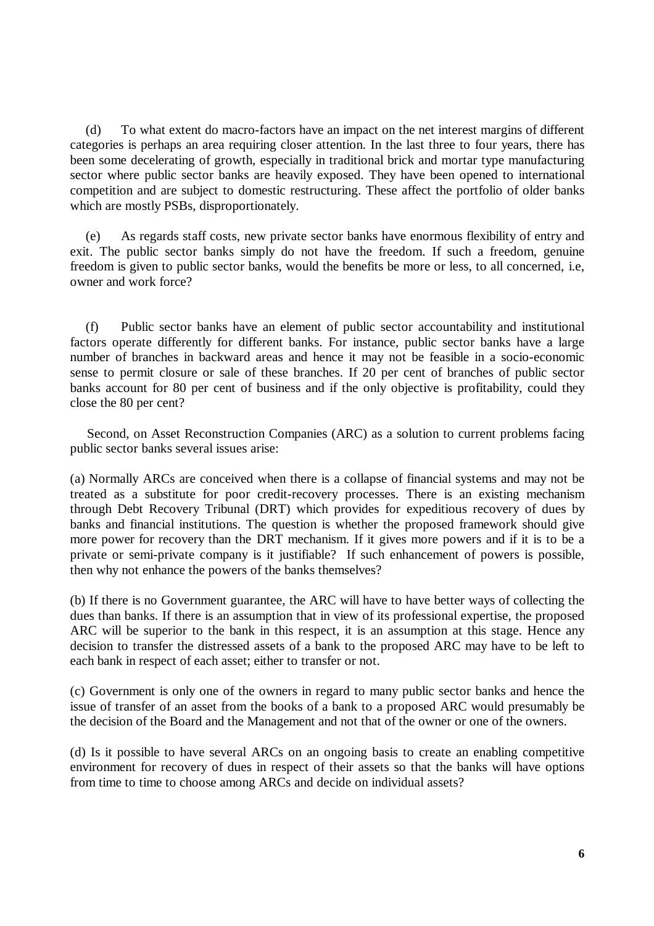(d) To what extent do macro-factors have an impact on the net interest margins of different categories is perhaps an area requiring closer attention. In the last three to four years, there has been some decelerating of growth, especially in traditional brick and mortar type manufacturing sector where public sector banks are heavily exposed. They have been opened to international competition and are subject to domestic restructuring. These affect the portfolio of older banks which are mostly PSBs, disproportionately.

(e) As regards staff costs, new private sector banks have enormous flexibility of entry and exit. The public sector banks simply do not have the freedom. If such a freedom, genuine freedom is given to public sector banks, would the benefits be more or less, to all concerned, i.e, owner and work force?

(f) Public sector banks have an element of public sector accountability and institutional factors operate differently for different banks. For instance, public sector banks have a large number of branches in backward areas and hence it may not be feasible in a socio-economic sense to permit closure or sale of these branches. If 20 per cent of branches of public sector banks account for 80 per cent of business and if the only objective is profitability, could they close the 80 per cent?

Second, on Asset Reconstruction Companies (ARC) as a solution to current problems facing public sector banks several issues arise:

(a) Normally ARCs are conceived when there is a collapse of financial systems and may not be treated as a substitute for poor credit-recovery processes. There is an existing mechanism through Debt Recovery Tribunal (DRT) which provides for expeditious recovery of dues by banks and financial institutions. The question is whether the proposed framework should give more power for recovery than the DRT mechanism. If it gives more powers and if it is to be a private or semi-private company is it justifiable? If such enhancement of powers is possible, then why not enhance the powers of the banks themselves?

(b) If there is no Government guarantee, the ARC will have to have better ways of collecting the dues than banks. If there is an assumption that in view of its professional expertise, the proposed ARC will be superior to the bank in this respect, it is an assumption at this stage. Hence any decision to transfer the distressed assets of a bank to the proposed ARC may have to be left to each bank in respect of each asset; either to transfer or not.

(c) Government is only one of the owners in regard to many public sector banks and hence the issue of transfer of an asset from the books of a bank to a proposed ARC would presumably be the decision of the Board and the Management and not that of the owner or one of the owners.

(d) Is it possible to have several ARCs on an ongoing basis to create an enabling competitive environment for recovery of dues in respect of their assets so that the banks will have options from time to time to choose among ARCs and decide on individual assets?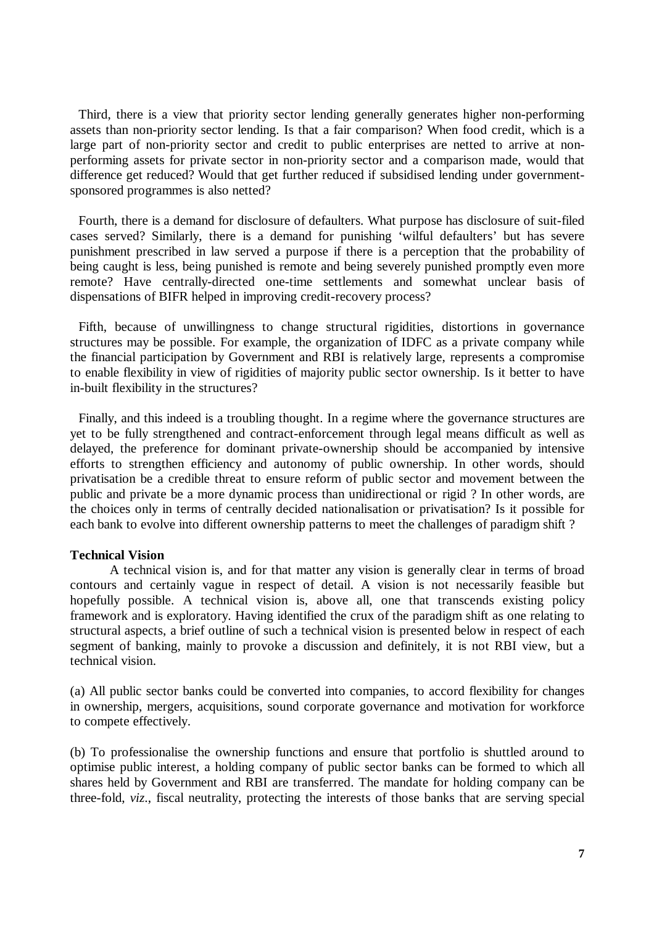Third, there is a view that priority sector lending generally generates higher non-performing assets than non-priority sector lending. Is that a fair comparison? When food credit, which is a large part of non-priority sector and credit to public enterprises are netted to arrive at nonperforming assets for private sector in non-priority sector and a comparison made, would that difference get reduced? Would that get further reduced if subsidised lending under governmentsponsored programmes is also netted?

Fourth, there is a demand for disclosure of defaulters. What purpose has disclosure of suit-filed cases served? Similarly, there is a demand for punishing 'wilful defaulters' but has severe punishment prescribed in law served a purpose if there is a perception that the probability of being caught is less, being punished is remote and being severely punished promptly even more remote? Have centrally-directed one-time settlements and somewhat unclear basis of dispensations of BIFR helped in improving credit-recovery process?

Fifth, because of unwillingness to change structural rigidities, distortions in governance structures may be possible. For example, the organization of IDFC as a private company while the financial participation by Government and RBI is relatively large, represents a compromise to enable flexibility in view of rigidities of majority public sector ownership. Is it better to have in-built flexibility in the structures?

Finally, and this indeed is a troubling thought. In a regime where the governance structures are yet to be fully strengthened and contract-enforcement through legal means difficult as well as delayed, the preference for dominant private-ownership should be accompanied by intensive efforts to strengthen efficiency and autonomy of public ownership. In other words, should privatisation be a credible threat to ensure reform of public sector and movement between the public and private be a more dynamic process than unidirectional or rigid ? In other words, are the choices only in terms of centrally decided nationalisation or privatisation? Is it possible for each bank to evolve into different ownership patterns to meet the challenges of paradigm shift ?

# **Technical Vision**

A technical vision is, and for that matter any vision is generally clear in terms of broad contours and certainly vague in respect of detail. A vision is not necessarily feasible but hopefully possible. A technical vision is, above all, one that transcends existing policy framework and is exploratory. Having identified the crux of the paradigm shift as one relating to structural aspects, a brief outline of such a technical vision is presented below in respect of each segment of banking, mainly to provoke a discussion and definitely, it is not RBI view, but a technical vision.

(a) All public sector banks could be converted into companies, to accord flexibility for changes in ownership, mergers, acquisitions, sound corporate governance and motivation for workforce to compete effectively.

(b) To professionalise the ownership functions and ensure that portfolio is shuttled around to optimise public interest, a holding company of public sector banks can be formed to which all shares held by Government and RBI are transferred. The mandate for holding company can be three-fold, *viz*., fiscal neutrality, protecting the interests of those banks that are serving special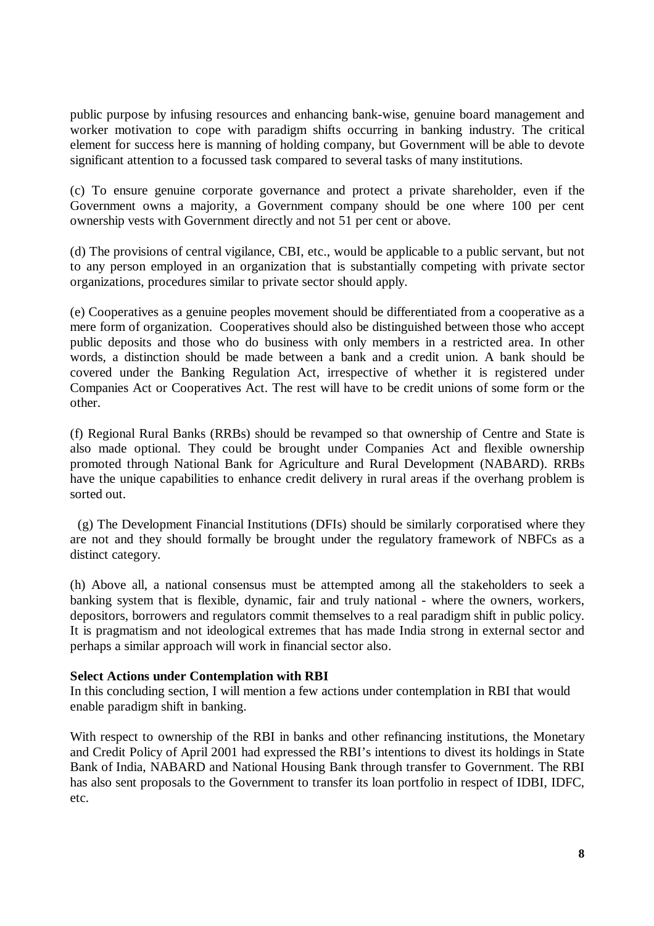public purpose by infusing resources and enhancing bank-wise, genuine board management and worker motivation to cope with paradigm shifts occurring in banking industry. The critical element for success here is manning of holding company, but Government will be able to devote significant attention to a focussed task compared to several tasks of many institutions.

(c) To ensure genuine corporate governance and protect a private shareholder, even if the Government owns a majority, a Government company should be one where 100 per cent ownership vests with Government directly and not 51 per cent or above.

(d) The provisions of central vigilance, CBI, etc., would be applicable to a public servant, but not to any person employed in an organization that is substantially competing with private sector organizations, procedures similar to private sector should apply.

(e) Cooperatives as a genuine peoples movement should be differentiated from a cooperative as a mere form of organization. Cooperatives should also be distinguished between those who accept public deposits and those who do business with only members in a restricted area. In other words, a distinction should be made between a bank and a credit union. A bank should be covered under the Banking Regulation Act, irrespective of whether it is registered under Companies Act or Cooperatives Act. The rest will have to be credit unions of some form or the other.

(f) Regional Rural Banks (RRBs) should be revamped so that ownership of Centre and State is also made optional. They could be brought under Companies Act and flexible ownership promoted through National Bank for Agriculture and Rural Development (NABARD). RRBs have the unique capabilities to enhance credit delivery in rural areas if the overhang problem is sorted out.

 (g) The Development Financial Institutions (DFIs) should be similarly corporatised where they are not and they should formally be brought under the regulatory framework of NBFCs as a distinct category.

(h) Above all, a national consensus must be attempted among all the stakeholders to seek a banking system that is flexible, dynamic, fair and truly national - where the owners, workers, depositors, borrowers and regulators commit themselves to a real paradigm shift in public policy. It is pragmatism and not ideological extremes that has made India strong in external sector and perhaps a similar approach will work in financial sector also.

# **Select Actions under Contemplation with RBI**

In this concluding section, I will mention a few actions under contemplation in RBI that would enable paradigm shift in banking.

With respect to ownership of the RBI in banks and other refinancing institutions, the Monetary and Credit Policy of April 2001 had expressed the RBI's intentions to divest its holdings in State Bank of India, NABARD and National Housing Bank through transfer to Government. The RBI has also sent proposals to the Government to transfer its loan portfolio in respect of IDBI, IDFC, etc.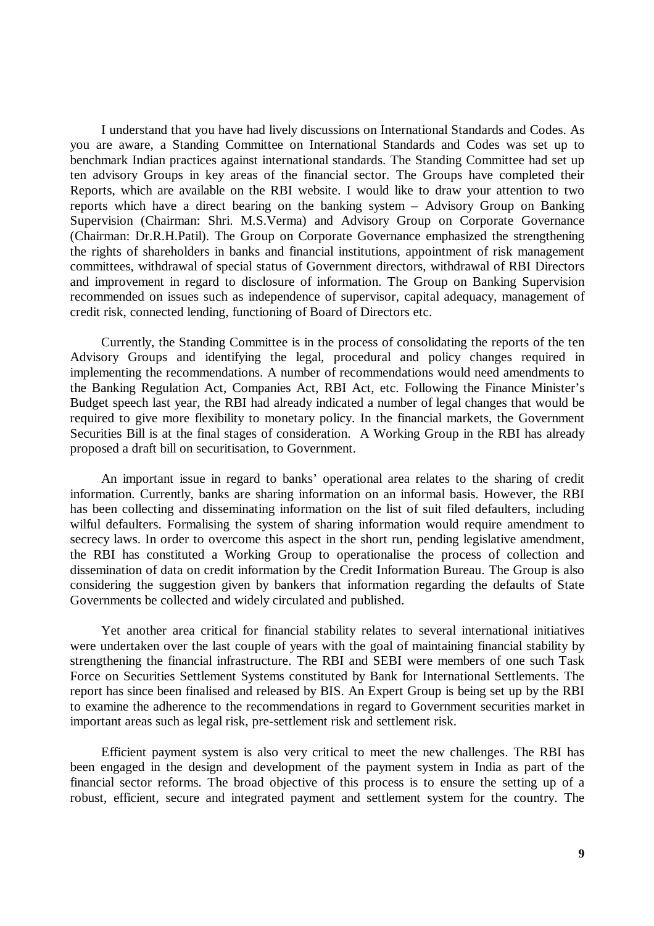I understand that you have had lively discussions on International Standards and Codes. As you are aware, a Standing Committee on International Standards and Codes was set up to benchmark Indian practices against international standards. The Standing Committee had set up ten advisory Groups in key areas of the financial sector. The Groups have completed their Reports, which are available on the RBI website. I would like to draw your attention to two reports which have a direct bearing on the banking system – Advisory Group on Banking Supervision (Chairman: Shri. M.S.Verma) and Advisory Group on Corporate Governance (Chairman: Dr.R.H.Patil). The Group on Corporate Governance emphasized the strengthening the rights of shareholders in banks and financial institutions, appointment of risk management committees, withdrawal of special status of Government directors, withdrawal of RBI Directors and improvement in regard to disclosure of information. The Group on Banking Supervision recommended on issues such as independence of supervisor, capital adequacy, management of credit risk, connected lending, functioning of Board of Directors etc.

Currently, the Standing Committee is in the process of consolidating the reports of the ten Advisory Groups and identifying the legal, procedural and policy changes required in implementing the recommendations. A number of recommendations would need amendments to the Banking Regulation Act, Companies Act, RBI Act, etc. Following the Finance Minister's Budget speech last year, the RBI had already indicated a number of legal changes that would be required to give more flexibility to monetary policy. In the financial markets, the Government Securities Bill is at the final stages of consideration. A Working Group in the RBI has already proposed a draft bill on securitisation, to Government.

An important issue in regard to banks' operational area relates to the sharing of credit information. Currently, banks are sharing information on an informal basis. However, the RBI has been collecting and disseminating information on the list of suit filed defaulters, including wilful defaulters. Formalising the system of sharing information would require amendment to secrecy laws. In order to overcome this aspect in the short run, pending legislative amendment, the RBI has constituted a Working Group to operationalise the process of collection and dissemination of data on credit information by the Credit Information Bureau. The Group is also considering the suggestion given by bankers that information regarding the defaults of State Governments be collected and widely circulated and published.

Yet another area critical for financial stability relates to several international initiatives were undertaken over the last couple of years with the goal of maintaining financial stability by strengthening the financial infrastructure. The RBI and SEBI were members of one such Task Force on Securities Settlement Systems constituted by Bank for International Settlements. The report has since been finalised and released by BIS. An Expert Group is being set up by the RBI to examine the adherence to the recommendations in regard to Government securities market in important areas such as legal risk, pre-settlement risk and settlement risk.

Efficient payment system is also very critical to meet the new challenges. The RBI has been engaged in the design and development of the payment system in India as part of the financial sector reforms. The broad objective of this process is to ensure the setting up of a robust, efficient, secure and integrated payment and settlement system for the country. The